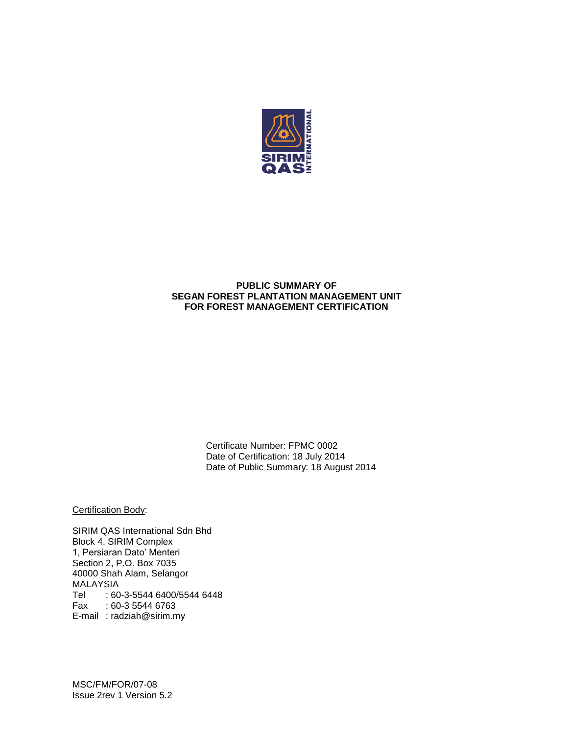

## **PUBLIC SUMMARY OF SEGAN FOREST PLANTATION MANAGEMENT UNIT FOR FOREST MANAGEMENT CERTIFICATION**

Certificate Number: FPMC 0002 Date of Certification: 18 July 2014 Date of Public Summary: 18 August 2014

Certification Body:

SIRIM QAS International Sdn Bhd Block 4, SIRIM Complex 1, Persiaran Dato' Menteri Section 2, P.O. Box 7035 40000 Shah Alam, Selangor MALAYSIA Tel : 60-3-5544 6400/5544 6448 Fax : 60-3 5544 6763 E-mail : radziah@sirim.my

MSC/FM/FOR/07-08 Issue 2rev 1 Version 5.2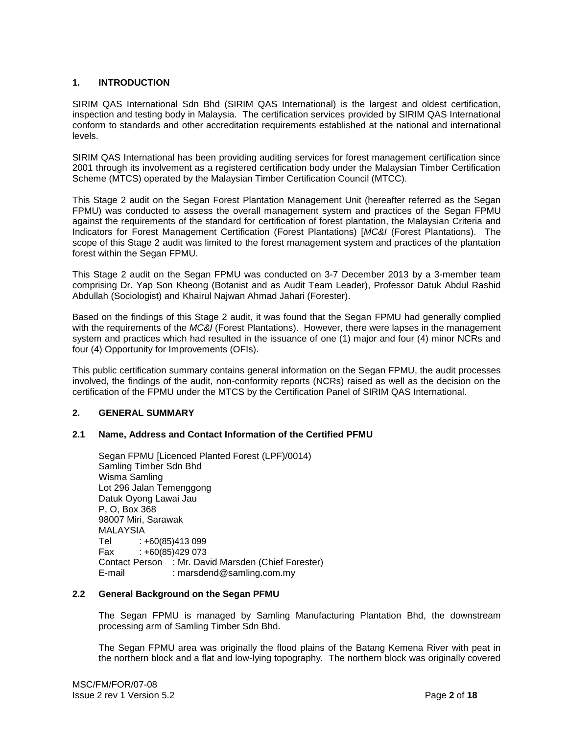## **1. INTRODUCTION**

SIRIM QAS International Sdn Bhd (SIRIM QAS International) is the largest and oldest certification, inspection and testing body in Malaysia. The certification services provided by SIRIM QAS International conform to standards and other accreditation requirements established at the national and international levels.

SIRIM QAS International has been providing auditing services for forest management certification since 2001 through its involvement as a registered certification body under the Malaysian Timber Certification Scheme (MTCS) operated by the Malaysian Timber Certification Council (MTCC).

This Stage 2 audit on the Segan Forest Plantation Management Unit (hereafter referred as the Segan FPMU) was conducted to assess the overall management system and practices of the Segan FPMU against the requirements of the standard for certification of forest plantation, the Malaysian Criteria and Indicators for Forest Management Certification (Forest Plantations) [*MC&I* (Forest Plantations). The scope of this Stage 2 audit was limited to the forest management system and practices of the plantation forest within the Segan FPMU.

This Stage 2 audit on the Segan FPMU was conducted on 3-7 December 2013 by a 3-member team comprising Dr. Yap Son Kheong (Botanist and as Audit Team Leader), Professor Datuk Abdul Rashid Abdullah (Sociologist) and Khairul Najwan Ahmad Jahari (Forester).

Based on the findings of this Stage 2 audit, it was found that the Segan FPMU had generally complied with the requirements of the *MC&I* (Forest Plantations). However, there were lapses in the management system and practices which had resulted in the issuance of one (1) major and four (4) minor NCRs and four (4) Opportunity for Improvements (OFIs).

This public certification summary contains general information on the Segan FPMU, the audit processes involved, the findings of the audit, non-conformity reports (NCRs) raised as well as the decision on the certification of the FPMU under the MTCS by the Certification Panel of SIRIM QAS International.

### **2. GENERAL SUMMARY**

### **2.1 Name, Address and Contact Information of the Certified PFMU**

Segan FPMU [Licenced Planted Forest (LPF)/0014) Samling Timber Sdn Bhd Wisma Samling Lot 296 Jalan Temenggong Datuk Oyong Lawai Jau P, O, Box 368 98007 Miri, Sarawak MALAYSIA Tel : +60(85)413 099 Fax : +60(85)429 073 Contact Person : Mr. David Marsden (Chief Forester) E-mail : marsdend@samling.com.my

### **2.2 General Background on the Segan PFMU**

The Segan FPMU is managed by Samling Manufacturing Plantation Bhd, the downstream processing arm of Samling Timber Sdn Bhd.

The Segan FPMU area was originally the flood plains of the Batang Kemena River with peat in the northern block and a flat and low-lying topography. The northern block was originally covered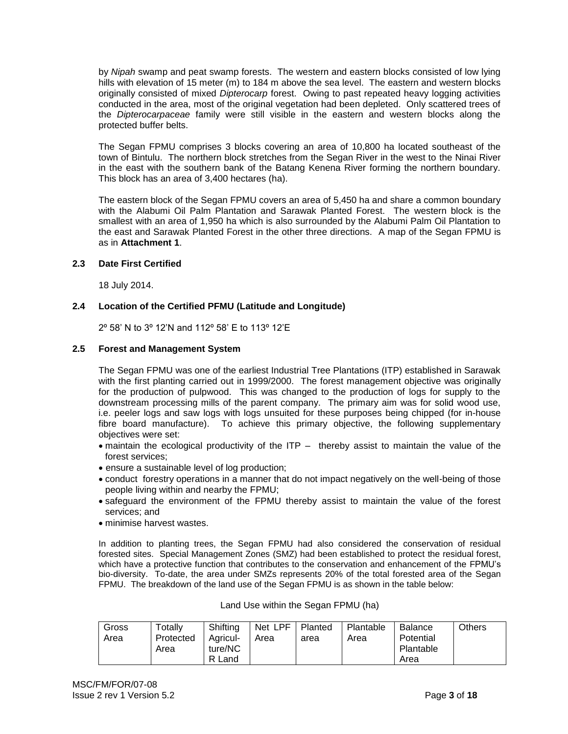by *Nipah* swamp and peat swamp forests. The western and eastern blocks consisted of low lying hills with elevation of 15 meter (m) to 184 m above the sea level. The eastern and western blocks originally consisted of mixed *Dipterocarp* forest. Owing to past repeated heavy logging activities conducted in the area, most of the original vegetation had been depleted. Only scattered trees of the *Dipterocarpaceae* family were still visible in the eastern and western blocks along the protected buffer belts.

The Segan FPMU comprises 3 blocks covering an area of 10,800 ha located southeast of the town of Bintulu. The northern block stretches from the Segan River in the west to the Ninai River in the east with the southern bank of the Batang Kenena River forming the northern boundary. This block has an area of 3,400 hectares (ha).

The eastern block of the Segan FPMU covers an area of 5,450 ha and share a common boundary with the Alabumi Oil Palm Plantation and Sarawak Planted Forest. The western block is the smallest with an area of 1,950 ha which is also surrounded by the Alabumi Palm Oil Plantation to the east and Sarawak Planted Forest in the other three directions. A map of the Segan FPMU is as in **Attachment 1**.

## **2.3 Date First Certified**

18 July 2014.

## **2.4 Location of the Certified PFMU (Latitude and Longitude)**

2º 58' N to 3º 12'N and 112º 58' E to 113º 12'E

## **2.5 Forest and Management System**

The Segan FPMU was one of the earliest Industrial Tree Plantations (ITP) established in Sarawak with the first planting carried out in 1999/2000. The forest management objective was originally for the production of pulpwood. This was changed to the production of logs for supply to the downstream processing mills of the parent company. The primary aim was for solid wood use, i.e. peeler logs and saw logs with logs unsuited for these purposes being chipped (for in-house fibre board manufacture). To achieve this primary objective, the following supplementary objectives were set:

- maintain the ecological productivity of the ITP thereby assist to maintain the value of the forest services;
- ensure a sustainable level of log production;
- conduct forestry operations in a manner that do not impact negatively on the well-being of those people living within and nearby the FPMU;
- safeguard the environment of the FPMU thereby assist to maintain the value of the forest services; and
- minimise harvest wastes.

In addition to planting trees, the Segan FPMU had also considered the conservation of residual forested sites. Special Management Zones (SMZ) had been established to protect the residual forest, which have a protective function that contributes to the conservation and enhancement of the FPMU's bio-diversity. To-date, the area under SMZs represents 20% of the total forested area of the Segan FPMU. The breakdown of the land use of the Segan FPMU is as shown in the table below:

| Land Use within the Segan FPMU (ha) |  |  |  |  |  |
|-------------------------------------|--|--|--|--|--|
|-------------------------------------|--|--|--|--|--|

| Gross | Totally   | Shifting   | Net LPF | Planted | Plantable | <b>Balance</b> | Others |
|-------|-----------|------------|---------|---------|-----------|----------------|--------|
| Area  | Protected | Agricul-   | Area    | area    | Area      | Potential      |        |
|       | Area      | ture/NC    |         |         |           | Plantable      |        |
|       |           | R.<br>Land |         |         |           | Area           |        |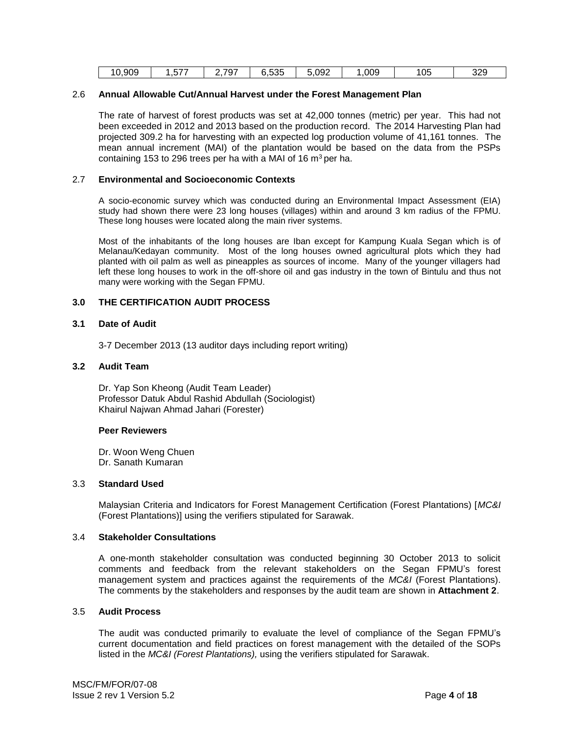| 10,909 | ----<br>، ، ن | 2,797 | につに<br>ບ.ບວບ | 5,092 | ,009 | 105 | 329 |  |
|--------|---------------|-------|--------------|-------|------|-----|-----|--|
|--------|---------------|-------|--------------|-------|------|-----|-----|--|

### 2.6 **Annual Allowable Cut/Annual Harvest under the Forest Management Plan**

The rate of harvest of forest products was set at 42,000 tonnes (metric) per year. This had not been exceeded in 2012 and 2013 based on the production record. The 2014 Harvesting Plan had projected 309.2 ha for harvesting with an expected log production volume of 41,161 tonnes. The mean annual increment (MAI) of the plantation would be based on the data from the PSPs containing 153 to 296 trees per ha with a MAI of 16  $m^3$  per ha.

### 2.7 **Environmental and Socioeconomic Contexts**

A socio-economic survey which was conducted during an Environmental Impact Assessment (EIA) study had shown there were 23 long houses (villages) within and around 3 km radius of the FPMU. These long houses were located along the main river systems.

Most of the inhabitants of the long houses are Iban except for Kampung Kuala Segan which is of Melanau/Kedayan community. Most of the long houses owned agricultural plots which they had planted with oil palm as well as pineapples as sources of income. Many of the younger villagers had left these long houses to work in the off-shore oil and gas industry in the town of Bintulu and thus not many were working with the Segan FPMU.

## **3.0 THE CERTIFICATION AUDIT PROCESS**

### **3.1 Date of Audit**

3-7 December 2013 (13 auditor days including report writing)

## **3.2 Audit Team**

Dr. Yap Son Kheong (Audit Team Leader) Professor Datuk Abdul Rashid Abdullah (Sociologist) Khairul Najwan Ahmad Jahari (Forester)

#### **Peer Reviewers**

Dr. Woon Weng Chuen Dr. Sanath Kumaran

### 3.3 **Standard Used**

Malaysian Criteria and Indicators for Forest Management Certification (Forest Plantations) [*MC&I* (Forest Plantations)] using the verifiers stipulated for Sarawak.

#### 3.4 **Stakeholder Consultations**

A one-month stakeholder consultation was conducted beginning 30 October 2013 to solicit comments and feedback from the relevant stakeholders on the Segan FPMU's forest management system and practices against the requirements of the *MC&I* (Forest Plantations). The comments by the stakeholders and responses by the audit team are shown in **Attachment 2**.

#### 3.5 **Audit Process**

The audit was conducted primarily to evaluate the level of compliance of the Segan FPMU's current documentation and field practices on forest management with the detailed of the SOPs listed in the *MC&I (Forest Plantations),* using the verifiers stipulated for Sarawak.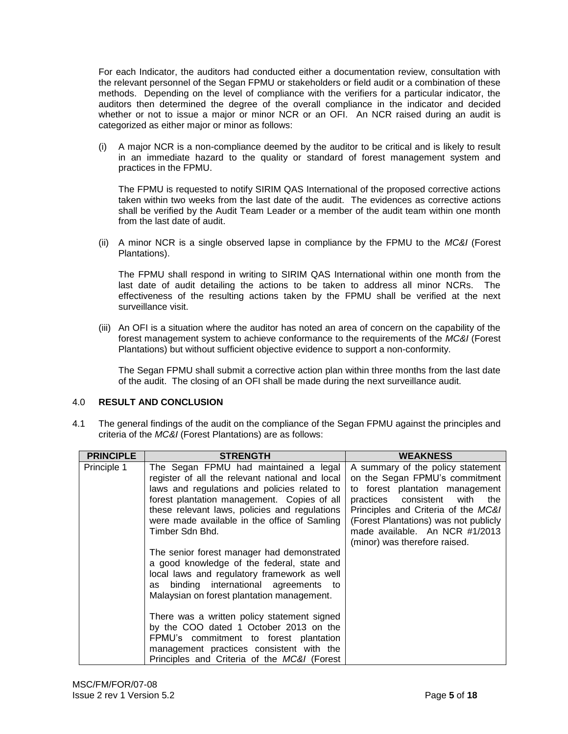For each Indicator, the auditors had conducted either a documentation review, consultation with the relevant personnel of the Segan FPMU or stakeholders or field audit or a combination of these methods. Depending on the level of compliance with the verifiers for a particular indicator, the auditors then determined the degree of the overall compliance in the indicator and decided whether or not to issue a major or minor NCR or an OFI. An NCR raised during an audit is categorized as either major or minor as follows:

(i) A major NCR is a non-compliance deemed by the auditor to be critical and is likely to result in an immediate hazard to the quality or standard of forest management system and practices in the FPMU.

The FPMU is requested to notify SIRIM QAS International of the proposed corrective actions taken within two weeks from the last date of the audit. The evidences as corrective actions shall be verified by the Audit Team Leader or a member of the audit team within one month from the last date of audit.

(ii) A minor NCR is a single observed lapse in compliance by the FPMU to the *MC&I* (Forest Plantations).

The FPMU shall respond in writing to SIRIM QAS International within one month from the last date of audit detailing the actions to be taken to address all minor NCRs. The effectiveness of the resulting actions taken by the FPMU shall be verified at the next surveillance visit.

(iii) An OFI is a situation where the auditor has noted an area of concern on the capability of the forest management system to achieve conformance to the requirements of the *MC&I* (Forest Plantations) but without sufficient objective evidence to support a non-conformity.

The Segan FPMU shall submit a corrective action plan within three months from the last date of the audit. The closing of an OFI shall be made during the next surveillance audit.

## 4.0 **RESULT AND CONCLUSION**

4.1 The general findings of the audit on the compliance of the Segan FPMU against the principles and criteria of the *MC&I* (Forest Plantations) are as follows:

| <b>PRINCIPLE</b> | <b>STRENGTH</b>                                                                                                                                                                                                                                                                                                                                                                                         | <b>WEAKNESS</b>                                                                                                                                                                                                                                                                               |
|------------------|---------------------------------------------------------------------------------------------------------------------------------------------------------------------------------------------------------------------------------------------------------------------------------------------------------------------------------------------------------------------------------------------------------|-----------------------------------------------------------------------------------------------------------------------------------------------------------------------------------------------------------------------------------------------------------------------------------------------|
| Principle 1      | The Segan FPMU had maintained a legal<br>register of all the relevant national and local<br>laws and regulations and policies related to<br>forest plantation management. Copies of all<br>these relevant laws, policies and regulations<br>were made available in the office of Samling<br>Timber Sdn Bhd.<br>The senior forest manager had demonstrated<br>a good knowledge of the federal, state and | A summary of the policy statement<br>on the Segan FPMU's commitment<br>to forest plantation management<br>practices consistent with<br>the<br>Principles and Criteria of the MC&I<br>(Forest Plantations) was not publicly<br>made available. An NCR #1/2013<br>(minor) was therefore raised. |
|                  | local laws and regulatory framework as well<br>binding international agreements to<br>as<br>Malaysian on forest plantation management.<br>There was a written policy statement signed<br>by the COO dated 1 October 2013 on the<br>FPMU's commitment to forest plantation<br>management practices consistent with the<br>Principles and Criteria of the MC&I (Forest                                    |                                                                                                                                                                                                                                                                                               |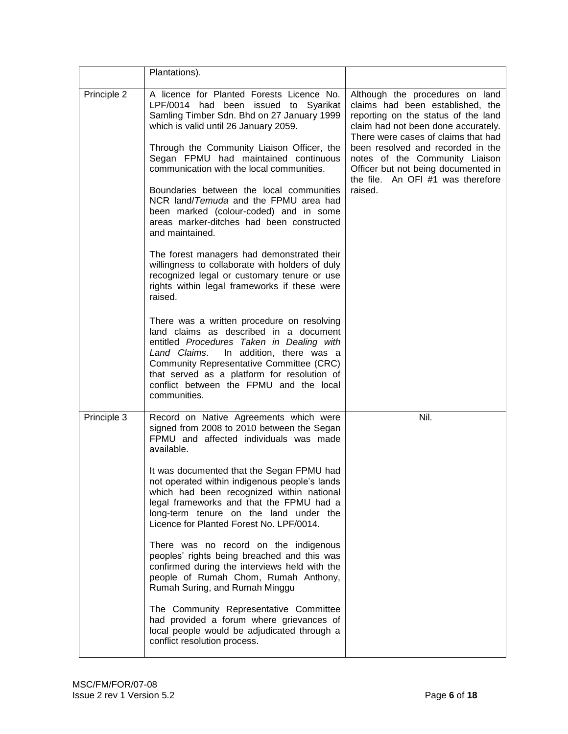|             | Plantations).                                                                                                                                                                                                                                                                                                                                                                                                                                                                                                                                                                                                                                                                                                                                                                                                                                                                                                                                                                                                                                |                                                                                                                                                                                                                                                                                                                                                        |
|-------------|----------------------------------------------------------------------------------------------------------------------------------------------------------------------------------------------------------------------------------------------------------------------------------------------------------------------------------------------------------------------------------------------------------------------------------------------------------------------------------------------------------------------------------------------------------------------------------------------------------------------------------------------------------------------------------------------------------------------------------------------------------------------------------------------------------------------------------------------------------------------------------------------------------------------------------------------------------------------------------------------------------------------------------------------|--------------------------------------------------------------------------------------------------------------------------------------------------------------------------------------------------------------------------------------------------------------------------------------------------------------------------------------------------------|
| Principle 2 | A licence for Planted Forests Licence No.<br>LPF/0014 had been issued to Syarikat<br>Samling Timber Sdn. Bhd on 27 January 1999<br>which is valid until 26 January 2059.<br>Through the Community Liaison Officer, the<br>Segan FPMU had maintained continuous<br>communication with the local communities.<br>Boundaries between the local communities<br>NCR land/Temuda and the FPMU area had<br>been marked (colour-coded) and in some<br>areas marker-ditches had been constructed<br>and maintained.<br>The forest managers had demonstrated their<br>willingness to collaborate with holders of duly<br>recognized legal or customary tenure or use<br>rights within legal frameworks if these were<br>raised.<br>There was a written procedure on resolving<br>land claims as described in a document<br>entitled Procedures Taken in Dealing with<br>Land Claims.<br>In addition, there was a<br>Community Representative Committee (CRC)<br>that served as a platform for resolution of<br>conflict between the FPMU and the local | Although the procedures on land<br>claims had been established, the<br>reporting on the status of the land<br>claim had not been done accurately.<br>There were cases of claims that had<br>been resolved and recorded in the<br>notes of the Community Liaison<br>Officer but not being documented in<br>the file. An OFI #1 was therefore<br>raised. |
|             | communities.                                                                                                                                                                                                                                                                                                                                                                                                                                                                                                                                                                                                                                                                                                                                                                                                                                                                                                                                                                                                                                 |                                                                                                                                                                                                                                                                                                                                                        |
| Principle 3 | Record on Native Agreements which were<br>signed from 2008 to 2010 between the Segan<br>FPMU and affected individuals was made<br>available.<br>It was documented that the Segan FPMU had                                                                                                                                                                                                                                                                                                                                                                                                                                                                                                                                                                                                                                                                                                                                                                                                                                                    | Nil.                                                                                                                                                                                                                                                                                                                                                   |
|             | not operated within indigenous people's lands<br>which had been recognized within national<br>legal frameworks and that the FPMU had a<br>long-term tenure on the land under the<br>Licence for Planted Forest No. LPF/0014.                                                                                                                                                                                                                                                                                                                                                                                                                                                                                                                                                                                                                                                                                                                                                                                                                 |                                                                                                                                                                                                                                                                                                                                                        |
|             | There was no record on the indigenous<br>peoples' rights being breached and this was<br>confirmed during the interviews held with the<br>people of Rumah Chom, Rumah Anthony,<br>Rumah Suring, and Rumah Minggu                                                                                                                                                                                                                                                                                                                                                                                                                                                                                                                                                                                                                                                                                                                                                                                                                              |                                                                                                                                                                                                                                                                                                                                                        |
|             | The Community Representative Committee<br>had provided a forum where grievances of<br>local people would be adjudicated through a<br>conflict resolution process.                                                                                                                                                                                                                                                                                                                                                                                                                                                                                                                                                                                                                                                                                                                                                                                                                                                                            |                                                                                                                                                                                                                                                                                                                                                        |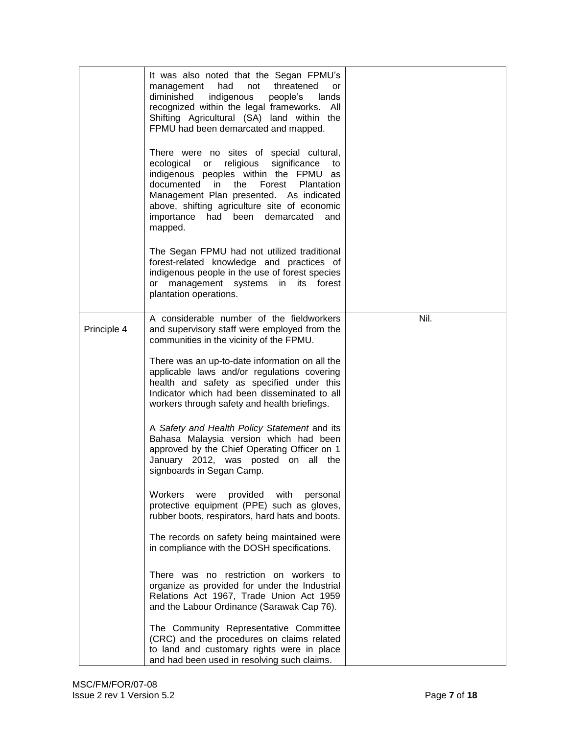|             | It was also noted that the Segan FPMU's<br>had<br>not threatened<br>management<br>or<br>diminished<br>indigenous<br>people's<br>lands<br>recognized within the legal frameworks.<br>All<br>Shifting Agricultural (SA) land within the<br>FPMU had been demarcated and mapped.<br>There were no sites of special cultural,<br>religious<br>significance<br>ecological<br>or<br>to<br>indigenous peoples within the FPMU<br>as<br>Forest<br>documented<br>in<br>the<br><b>Plantation</b><br>Management Plan presented. As indicated<br>above, shifting agriculture site of economic<br>importance<br>had been demarcated<br>and<br>mapped.<br>The Segan FPMU had not utilized traditional<br>forest-related knowledge and practices of<br>indigenous people in the use of forest species<br>or management systems<br>in<br>its forest<br>plantation operations.                                                                                                                                                                         |      |
|-------------|---------------------------------------------------------------------------------------------------------------------------------------------------------------------------------------------------------------------------------------------------------------------------------------------------------------------------------------------------------------------------------------------------------------------------------------------------------------------------------------------------------------------------------------------------------------------------------------------------------------------------------------------------------------------------------------------------------------------------------------------------------------------------------------------------------------------------------------------------------------------------------------------------------------------------------------------------------------------------------------------------------------------------------------|------|
| Principle 4 | A considerable number of the fieldworkers<br>and supervisory staff were employed from the<br>communities in the vicinity of the FPMU.<br>There was an up-to-date information on all the<br>applicable laws and/or regulations covering<br>health and safety as specified under this<br>Indicator which had been disseminated to all<br>workers through safety and health briefings.<br>A Safety and Health Policy Statement and its<br>Bahasa Malaysia version which had been<br>approved by the Chief Operating Officer on 1<br>January 2012, was posted on all the<br>signboards in Segan Camp.<br>Workers<br>provided with<br>were<br>personal<br>protective equipment (PPE) such as gloves,<br>rubber boots, respirators, hard hats and boots.<br>The records on safety being maintained were<br>in compliance with the DOSH specifications.<br>There was no restriction on workers to<br>organize as provided for under the Industrial<br>Relations Act 1967, Trade Union Act 1959<br>and the Labour Ordinance (Sarawak Cap 76). | Nil. |
|             | The Community Representative Committee<br>(CRC) and the procedures on claims related<br>to land and customary rights were in place<br>and had been used in resolving such claims.                                                                                                                                                                                                                                                                                                                                                                                                                                                                                                                                                                                                                                                                                                                                                                                                                                                     |      |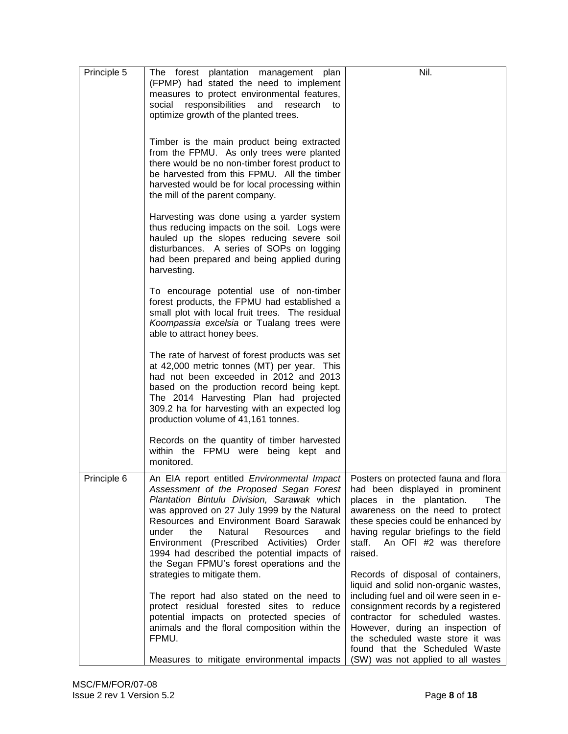| Principle 5 | The forest plantation management plan<br>(FPMP) had stated the need to implement<br>measures to protect environmental features,<br>social responsibilities<br>and<br>research<br>to<br>optimize growth of the planted trees.                                                                                                                                                                                                                                             | Nil.                                                                                                                                                                                                                                                                                                                                            |
|-------------|--------------------------------------------------------------------------------------------------------------------------------------------------------------------------------------------------------------------------------------------------------------------------------------------------------------------------------------------------------------------------------------------------------------------------------------------------------------------------|-------------------------------------------------------------------------------------------------------------------------------------------------------------------------------------------------------------------------------------------------------------------------------------------------------------------------------------------------|
|             | Timber is the main product being extracted<br>from the FPMU. As only trees were planted<br>there would be no non-timber forest product to<br>be harvested from this FPMU. All the timber<br>harvested would be for local processing within<br>the mill of the parent company.                                                                                                                                                                                            |                                                                                                                                                                                                                                                                                                                                                 |
|             | Harvesting was done using a yarder system<br>thus reducing impacts on the soil. Logs were<br>hauled up the slopes reducing severe soil<br>disturbances. A series of SOPs on logging<br>had been prepared and being applied during<br>harvesting.                                                                                                                                                                                                                         |                                                                                                                                                                                                                                                                                                                                                 |
|             | To encourage potential use of non-timber<br>forest products, the FPMU had established a<br>small plot with local fruit trees. The residual<br>Koompassia excelsia or Tualang trees were<br>able to attract honey bees.                                                                                                                                                                                                                                                   |                                                                                                                                                                                                                                                                                                                                                 |
|             | The rate of harvest of forest products was set<br>at 42,000 metric tonnes (MT) per year. This<br>had not been exceeded in 2012 and 2013<br>based on the production record being kept.<br>The 2014 Harvesting Plan had projected<br>309.2 ha for harvesting with an expected log<br>production volume of 41,161 tonnes.                                                                                                                                                   |                                                                                                                                                                                                                                                                                                                                                 |
|             | Records on the quantity of timber harvested<br>within the FPMU were being kept and<br>monitored.                                                                                                                                                                                                                                                                                                                                                                         |                                                                                                                                                                                                                                                                                                                                                 |
| Principle 6 | An EIA report entitled <i>Environmental Impact</i>   Posters on protected fauna and flora<br>Assessment of the Proposed Segan Forest<br>Plantation Bintulu Division, Sarawak which<br>was approved on 27 July 1999 by the Natural<br>Resources and Environment Board Sarawak<br>the<br>Natural<br>under<br>Resources<br>and<br>Environment (Prescribed Activities)<br>Order<br>1994 had described the potential impacts of<br>the Segan FPMU's forest operations and the | had been displayed in prominent<br>places in the plantation.<br>The<br>awareness on the need to protect<br>these species could be enhanced by<br>having regular briefings to the field<br>staff. An OFI #2 was therefore<br>raised.                                                                                                             |
|             | strategies to mitigate them.<br>The report had also stated on the need to<br>protect residual forested sites to reduce<br>potential impacts on protected species of<br>animals and the floral composition within the<br>FPMU.<br>Measures to mitigate environmental impacts                                                                                                                                                                                              | Records of disposal of containers,<br>liquid and solid non-organic wastes,<br>including fuel and oil were seen in e-<br>consignment records by a registered<br>contractor for scheduled wastes.<br>However, during an inspection of<br>the scheduled waste store it was<br>found that the Scheduled Waste<br>(SW) was not applied to all wastes |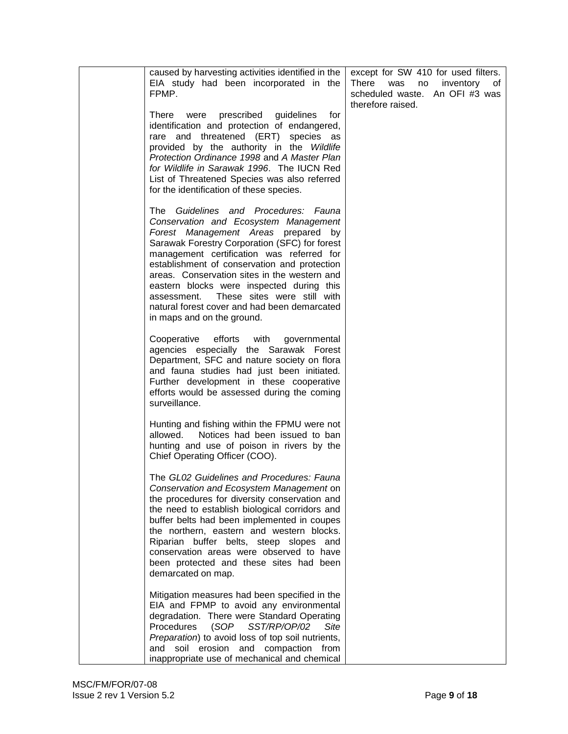| caused by harvesting activities identified in the<br>EIA study had been incorporated in the<br>FPMP.                                                                                                                                                                                                                                                                                                                                                                                        | except for SW 410 for used filters.<br>There<br>was<br>no<br>inventory<br>of<br>scheduled waste.<br>An OFI #3 was<br>therefore raised. |
|---------------------------------------------------------------------------------------------------------------------------------------------------------------------------------------------------------------------------------------------------------------------------------------------------------------------------------------------------------------------------------------------------------------------------------------------------------------------------------------------|----------------------------------------------------------------------------------------------------------------------------------------|
| were prescribed guidelines<br>There<br>for<br>identification and protection of endangered,<br>rare and threatened (ERT) species as<br>provided by the authority in the Wildlife<br>Protection Ordinance 1998 and A Master Plan<br>for Wildlife in Sarawak 1996. The IUCN Red<br>List of Threatened Species was also referred<br>for the identification of these species.                                                                                                                    |                                                                                                                                        |
| The Guidelines and Procedures: Fauna<br>Conservation and Ecosystem Management<br>Forest Management Areas prepared by<br>Sarawak Forestry Corporation (SFC) for forest<br>management certification was referred for<br>establishment of conservation and protection<br>areas. Conservation sites in the western and<br>eastern blocks were inspected during this<br>These sites were still with<br>assessment.<br>natural forest cover and had been demarcated<br>in maps and on the ground. |                                                                                                                                        |
| Cooperative<br>efforts with<br>governmental<br>agencies especially the Sarawak Forest<br>Department, SFC and nature society on flora<br>and fauna studies had just been initiated.<br>Further development in these cooperative<br>efforts would be assessed during the coming<br>surveillance.                                                                                                                                                                                              |                                                                                                                                        |
| Hunting and fishing within the FPMU were not<br>Notices had been issued to ban<br>allowed.<br>hunting and use of poison in rivers by the<br>Chief Operating Officer (COO).                                                                                                                                                                                                                                                                                                                  |                                                                                                                                        |
| The GL02 Guidelines and Procedures: Fauna<br>Conservation and Ecosystem Management on<br>the procedures for diversity conservation and<br>the need to establish biological corridors and<br>buffer belts had been implemented in coupes<br>the northern, eastern and western blocks.<br>Riparian buffer belts, steep slopes and<br>conservation areas were observed to have<br>been protected and these sites had been<br>demarcated on map.                                                |                                                                                                                                        |
| Mitigation measures had been specified in the<br>EIA and FPMP to avoid any environmental<br>degradation. There were Standard Operating<br>Procedures<br>(SOP<br>SST/RP/OP/02<br>Site<br>Preparation) to avoid loss of top soil nutrients,<br>and soil erosion and compaction from<br>inappropriate use of mechanical and chemical                                                                                                                                                           |                                                                                                                                        |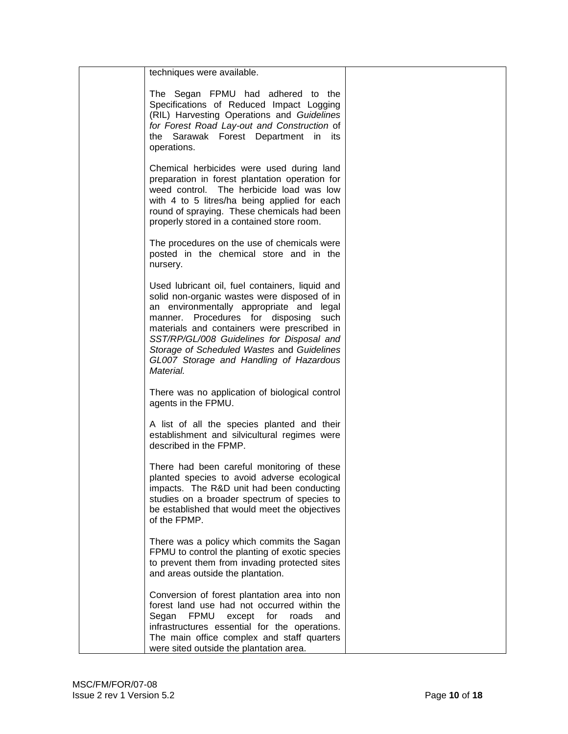| techniques were available.                                                                                                                                                                                                                                                                                                                                                                |  |
|-------------------------------------------------------------------------------------------------------------------------------------------------------------------------------------------------------------------------------------------------------------------------------------------------------------------------------------------------------------------------------------------|--|
|                                                                                                                                                                                                                                                                                                                                                                                           |  |
| The Segan FPMU had adhered to the<br>Specifications of Reduced Impact Logging<br>(RIL) Harvesting Operations and Guidelines<br>for Forest Road Lay-out and Construction of<br>the Sarawak Forest Department in its<br>operations.                                                                                                                                                         |  |
| Chemical herbicides were used during land<br>preparation in forest plantation operation for<br>weed control. The herbicide load was low<br>with 4 to 5 litres/ha being applied for each<br>round of spraying. These chemicals had been<br>properly stored in a contained store room.                                                                                                      |  |
| The procedures on the use of chemicals were<br>posted in the chemical store and in the<br>nursery.                                                                                                                                                                                                                                                                                        |  |
| Used lubricant oil, fuel containers, liquid and<br>solid non-organic wastes were disposed of in<br>an environmentally appropriate and legal<br>manner. Procedures for disposing<br>such<br>materials and containers were prescribed in<br>SST/RP/GL/008 Guidelines for Disposal and<br>Storage of Scheduled Wastes and Guidelines<br>GL007 Storage and Handling of Hazardous<br>Material. |  |
| There was no application of biological control<br>agents in the FPMU.                                                                                                                                                                                                                                                                                                                     |  |
| A list of all the species planted and their<br>establishment and silvicultural regimes were<br>described in the FPMP.                                                                                                                                                                                                                                                                     |  |
| There had been careful monitoring of these<br>planted species to avoid adverse ecological<br>impacts. The R&D unit had been conducting<br>studies on a broader spectrum of species to<br>be established that would meet the objectives<br>of the FPMP.                                                                                                                                    |  |
| There was a policy which commits the Sagan<br>FPMU to control the planting of exotic species<br>to prevent them from invading protected sites<br>and areas outside the plantation.                                                                                                                                                                                                        |  |
| Conversion of forest plantation area into non<br>forest land use had not occurred within the<br><b>FPMU</b><br>Segan<br>except<br>for<br>roads<br>and<br>infrastructures essential for the operations.<br>The main office complex and staff quarters<br>were sited outside the plantation area.                                                                                           |  |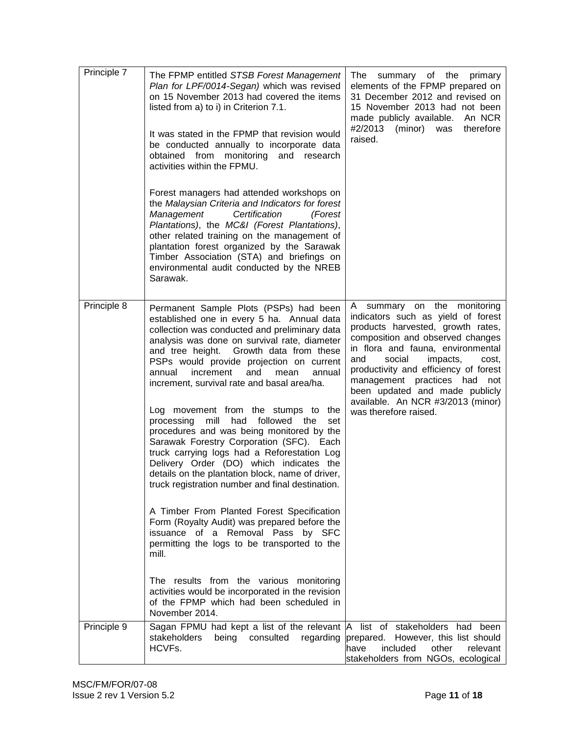| Principle 7 | The FPMP entitled STSB Forest Management<br>Plan for LPF/0014-Segan) which was revised<br>on 15 November 2013 had covered the items<br>listed from a) to i) in Criterion 7.1.<br>It was stated in the FPMP that revision would<br>be conducted annually to incorporate data<br>obtained from monitoring and<br>research<br>activities within the FPMU.<br>Forest managers had attended workshops on<br>the Malaysian Criteria and Indicators for forest<br>Management<br>Certification<br>(Forest<br>Plantations), the MC&I (Forest Plantations),<br>other related training on the management of<br>plantation forest organized by the Sarawak<br>Timber Association (STA) and briefings on<br>environmental audit conducted by the NREB<br>Sarawak.                                                                                                                                                                                                                                                                                                                                                                | summary of the<br>The<br>primary<br>elements of the FPMP prepared on<br>31 December 2012 and revised on<br>15 November 2013 had not been<br>made publicly available.<br>An NCR<br>#2/2013<br>(minor) was<br>therefore<br>raised.                                                                                                                                                                  |
|-------------|---------------------------------------------------------------------------------------------------------------------------------------------------------------------------------------------------------------------------------------------------------------------------------------------------------------------------------------------------------------------------------------------------------------------------------------------------------------------------------------------------------------------------------------------------------------------------------------------------------------------------------------------------------------------------------------------------------------------------------------------------------------------------------------------------------------------------------------------------------------------------------------------------------------------------------------------------------------------------------------------------------------------------------------------------------------------------------------------------------------------|---------------------------------------------------------------------------------------------------------------------------------------------------------------------------------------------------------------------------------------------------------------------------------------------------------------------------------------------------------------------------------------------------|
| Principle 8 | Permanent Sample Plots (PSPs) had been<br>established one in every 5 ha. Annual data<br>collection was conducted and preliminary data<br>analysis was done on survival rate, diameter<br>and tree height. Growth data from these<br>PSPs would provide projection on current<br>increment<br>and<br>annual<br>mean<br>annual<br>increment, survival rate and basal area/ha.<br>Log movement from the stumps to the<br>had followed the<br>processing mill<br>set<br>procedures and was being monitored by the<br>Sarawak Forestry Corporation (SFC). Each<br>truck carrying logs had a Reforestation Log<br>Delivery Order (DO) which indicates the<br>details on the plantation block, name of driver,<br>truck registration number and final destination.<br>A Timber From Planted Forest Specification<br>Form (Royalty Audit) was prepared before the<br>issuance of a Removal Pass by SFC<br>permitting the logs to be transported to the<br>mill.<br>The results from the various monitoring<br>activities would be incorporated in the revision<br>of the FPMP which had been scheduled in<br>November 2014. | summary on the monitoring<br>A<br>indicators such as yield of forest<br>products harvested, growth rates,<br>composition and observed changes<br>in flora and fauna, environmental<br>social<br>impacts,<br>and<br>cost,<br>productivity and efficiency of forest<br>management practices had not<br>been updated and made publicly<br>available. An NCR #3/2013 (minor)<br>was therefore raised. |
| Principle 9 | Sagan FPMU had kept a list of the relevant A<br>stakeholders<br>being<br>consulted<br>regarding<br>HCVFs.                                                                                                                                                                                                                                                                                                                                                                                                                                                                                                                                                                                                                                                                                                                                                                                                                                                                                                                                                                                                           | list of stakeholders<br>had been<br>prepared. However, this list should<br>have<br>included<br>other<br>relevant<br>stakeholders from NGOs, ecological                                                                                                                                                                                                                                            |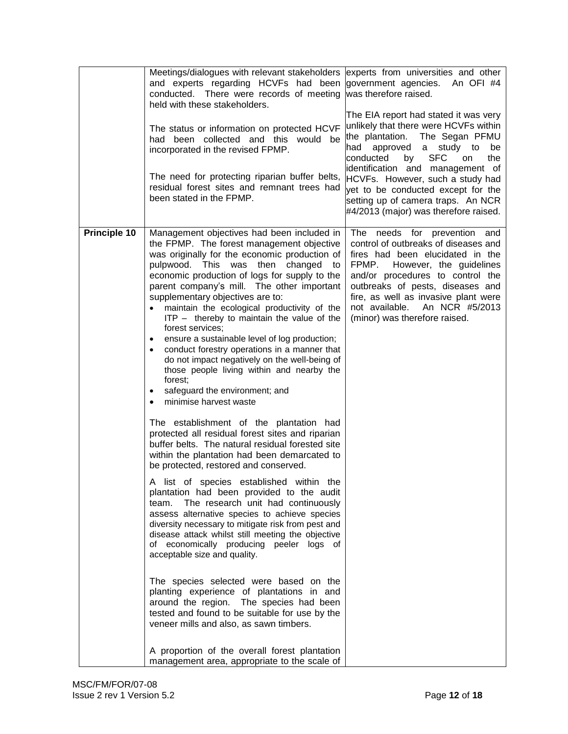|              | Meetings/dialogues with relevant stakeholders<br>and experts regarding HCVFs had been<br>conducted. There were records of meeting<br>held with these stakeholders.<br>The status or information on protected HCVF<br>had been collected and this would be<br>incorporated in the revised FPMP.<br>The need for protecting riparian buffer belts,<br>residual forest sites and remnant trees had<br>been stated in the FPMP.                                                                                                                                                                                                                                                                                                                                                                                                                                                                                                                                                                                                                                                                                                                                                                                                                                                                                                                                                                                                                                                                                                                                                                                                                                                                          | experts from universities and other<br>government agencies. An OFI #4<br>was therefore raised.<br>The EIA report had stated it was very<br>unlikely that there were HCVFs within<br>the plantation. The Segan PFMU<br>approved a study to<br>had<br>be<br><b>SFC</b><br>conducted<br>the<br>by<br>on<br>identification and management of<br>HCVFs. However, such a study had<br>yet to be conducted except for the<br>setting up of camera traps. An NCR<br>#4/2013 (major) was therefore raised. |
|--------------|------------------------------------------------------------------------------------------------------------------------------------------------------------------------------------------------------------------------------------------------------------------------------------------------------------------------------------------------------------------------------------------------------------------------------------------------------------------------------------------------------------------------------------------------------------------------------------------------------------------------------------------------------------------------------------------------------------------------------------------------------------------------------------------------------------------------------------------------------------------------------------------------------------------------------------------------------------------------------------------------------------------------------------------------------------------------------------------------------------------------------------------------------------------------------------------------------------------------------------------------------------------------------------------------------------------------------------------------------------------------------------------------------------------------------------------------------------------------------------------------------------------------------------------------------------------------------------------------------------------------------------------------------------------------------------------------------|---------------------------------------------------------------------------------------------------------------------------------------------------------------------------------------------------------------------------------------------------------------------------------------------------------------------------------------------------------------------------------------------------------------------------------------------------------------------------------------------------|
| Principle 10 | Management objectives had been included in<br>the FPMP. The forest management objective<br>was originally for the economic production of<br>pulpwood. This was then<br>changed<br>to<br>economic production of logs for supply to the<br>parent company's mill. The other important<br>supplementary objectives are to:<br>maintain the ecological productivity of the<br>ITP - thereby to maintain the value of the<br>forest services;<br>ensure a sustainable level of log production;<br>$\bullet$<br>conduct forestry operations in a manner that<br>$\bullet$<br>do not impact negatively on the well-being of<br>those people living within and nearby the<br>forest;<br>safeguard the environment; and<br>minimise harvest waste<br>The establishment of the plantation had<br>protected all residual forest sites and riparian<br>buffer belts. The natural residual forested site<br>within the plantation had been demarcated to<br>be protected, restored and conserved.<br>A list of species established within the<br>plantation had been provided to the audit<br>The research unit had continuously<br>team.<br>assess alternative species to achieve species<br>diversity necessary to mitigate risk from pest and<br>disease attack whilst still meeting the objective<br>of economically producing peeler logs of<br>acceptable size and quality.<br>The species selected were based on the<br>planting experience of plantations in and<br>around the region. The species had been<br>tested and found to be suitable for use by the<br>veneer mills and also, as sawn timbers.<br>A proportion of the overall forest plantation<br>management area, appropriate to the scale of | needs for prevention and<br>The<br>control of outbreaks of diseases and<br>fires had been elucidated in the<br>FPMP.<br>However, the guidelines<br>and/or procedures to control the<br>outbreaks of pests, diseases and<br>fire, as well as invasive plant were<br>not available.<br>An NCR #5/2013<br>(minor) was therefore raised.                                                                                                                                                              |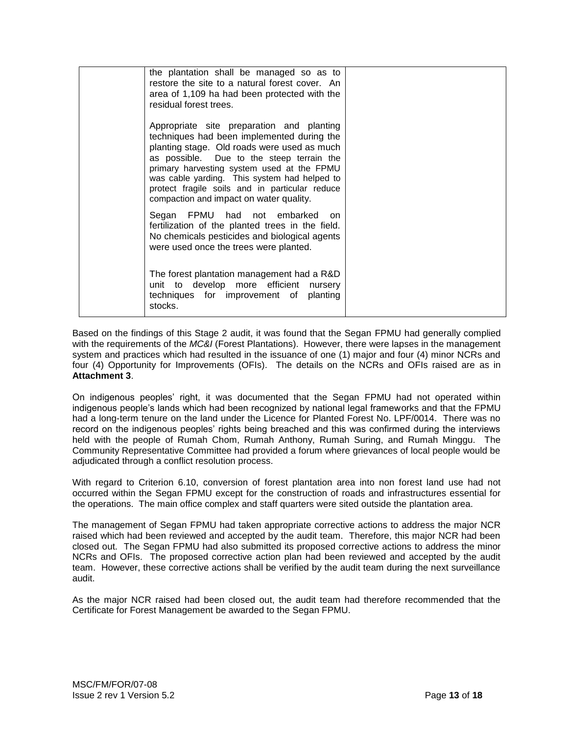| the plantation shall be managed so as to<br>restore the site to a natural forest cover. An<br>area of 1,109 ha had been protected with the<br>residual forest trees.                                                                                                                                                                                                           |  |
|--------------------------------------------------------------------------------------------------------------------------------------------------------------------------------------------------------------------------------------------------------------------------------------------------------------------------------------------------------------------------------|--|
| Appropriate site preparation and planting<br>techniques had been implemented during the<br>planting stage. Old roads were used as much<br>as possible. Due to the steep terrain the<br>primary harvesting system used at the FPMU<br>was cable yarding. This system had helped to<br>protect fragile soils and in particular reduce<br>compaction and impact on water quality. |  |
| Segan FPMU had not embarked on<br>fertilization of the planted trees in the field.<br>No chemicals pesticides and biological agents<br>were used once the trees were planted.                                                                                                                                                                                                  |  |
| The forest plantation management had a R&D<br>unit to develop more efficient nursery<br>techniques for improvement of planting<br>stocks.                                                                                                                                                                                                                                      |  |

Based on the findings of this Stage 2 audit, it was found that the Segan FPMU had generally complied with the requirements of the *MC&I* (Forest Plantations). However, there were lapses in the management system and practices which had resulted in the issuance of one (1) major and four (4) minor NCRs and four (4) Opportunity for Improvements (OFIs). The details on the NCRs and OFIs raised are as in **Attachment 3**.

On indigenous peoples' right, it was documented that the Segan FPMU had not operated within indigenous people's lands which had been recognized by national legal frameworks and that the FPMU had a long-term tenure on the land under the Licence for Planted Forest No. LPF/0014. There was no record on the indigenous peoples' rights being breached and this was confirmed during the interviews held with the people of Rumah Chom, Rumah Anthony, Rumah Suring, and Rumah Minggu. The Community Representative Committee had provided a forum where grievances of local people would be adjudicated through a conflict resolution process.

With regard to Criterion 6.10, conversion of forest plantation area into non forest land use had not occurred within the Segan FPMU except for the construction of roads and infrastructures essential for the operations. The main office complex and staff quarters were sited outside the plantation area.

The management of Segan FPMU had taken appropriate corrective actions to address the major NCR raised which had been reviewed and accepted by the audit team. Therefore, this major NCR had been closed out. The Segan FPMU had also submitted its proposed corrective actions to address the minor NCRs and OFIs. The proposed corrective action plan had been reviewed and accepted by the audit team. However, these corrective actions shall be verified by the audit team during the next surveillance audit.

As the major NCR raised had been closed out, the audit team had therefore recommended that the Certificate for Forest Management be awarded to the Segan FPMU.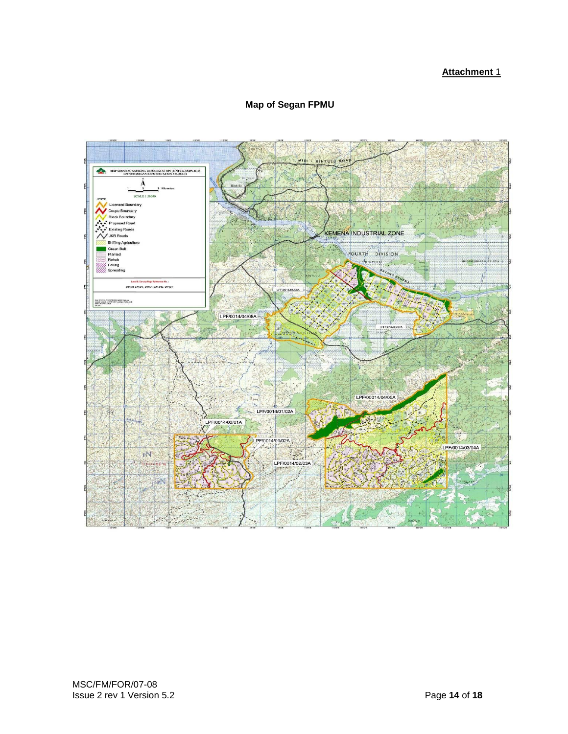# **Attachment** 1



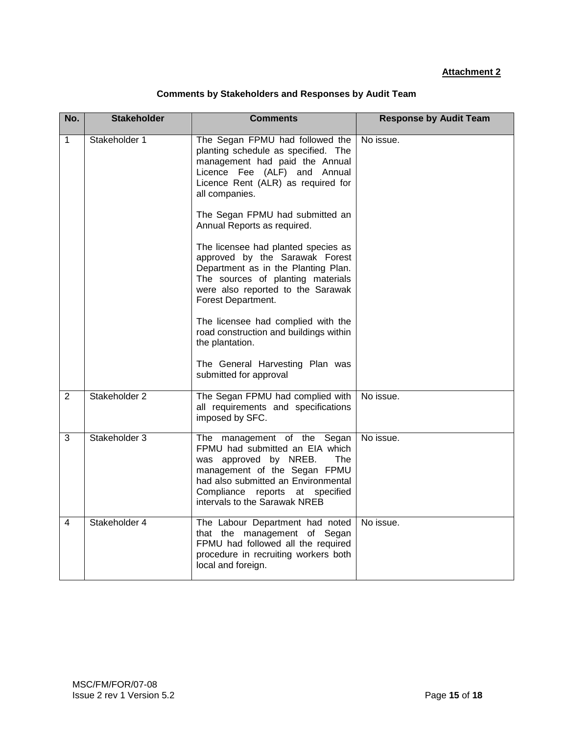# **Attachment 2**

| <b>Comments by Stakeholders and Responses by Audit Team</b> |  |  |
|-------------------------------------------------------------|--|--|
|-------------------------------------------------------------|--|--|

| No.          | <b>Stakeholder</b> | <b>Comments</b>                                                                                                                                                                                                                                                                                                                                                                                                                                                                    | <b>Response by Audit Team</b> |
|--------------|--------------------|------------------------------------------------------------------------------------------------------------------------------------------------------------------------------------------------------------------------------------------------------------------------------------------------------------------------------------------------------------------------------------------------------------------------------------------------------------------------------------|-------------------------------|
| $\mathbf{1}$ | Stakeholder 1      | The Segan FPMU had followed the<br>planting schedule as specified. The<br>management had paid the Annual<br>Licence Fee (ALF) and Annual<br>Licence Rent (ALR) as required for<br>all companies.<br>The Segan FPMU had submitted an<br>Annual Reports as required.<br>The licensee had planted species as<br>approved by the Sarawak Forest<br>Department as in the Planting Plan.<br>The sources of planting materials<br>were also reported to the Sarawak<br>Forest Department. | No issue.                     |
|              |                    | The licensee had complied with the<br>road construction and buildings within<br>the plantation.<br>The General Harvesting Plan was                                                                                                                                                                                                                                                                                                                                                 |                               |
|              |                    | submitted for approval                                                                                                                                                                                                                                                                                                                                                                                                                                                             |                               |
| 2            | Stakeholder 2      | The Segan FPMU had complied with<br>all requirements and specifications<br>imposed by SFC.                                                                                                                                                                                                                                                                                                                                                                                         | No issue.                     |
| 3            | Stakeholder 3      | The management of the Segan<br>FPMU had submitted an EIA which<br>was approved by NREB.<br>The<br>management of the Segan FPMU<br>had also submitted an Environmental<br>Compliance reports at specified<br>intervals to the Sarawak NREB                                                                                                                                                                                                                                          | No issue.                     |
| 4            | Stakeholder 4      | The Labour Department had noted<br>that the management of Segan<br>FPMU had followed all the required<br>procedure in recruiting workers both<br>local and foreign.                                                                                                                                                                                                                                                                                                                | No issue.                     |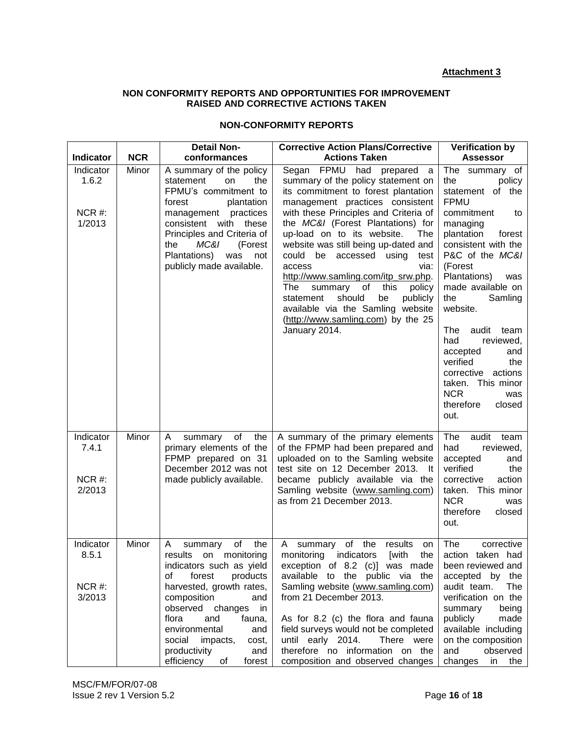# **Attachment 3**

## **NON CONFORMITY REPORTS AND OPPORTUNITIES FOR IMPROVEMENT RAISED AND CORRECTIVE ACTIONS TAKEN**

# **NON-CONFORMITY REPORTS**

|                                          |            | <b>Detail Non-</b>                                                                                                                                                                                                                                                                                                     | <b>Corrective Action Plans/Corrective</b>                                                                                                                                                                                                                                                                                                                                                                                                                                                                                                                                    | <b>Verification by</b>                                                                                                                                                                                                                                                                                                                                                                                                                        |
|------------------------------------------|------------|------------------------------------------------------------------------------------------------------------------------------------------------------------------------------------------------------------------------------------------------------------------------------------------------------------------------|------------------------------------------------------------------------------------------------------------------------------------------------------------------------------------------------------------------------------------------------------------------------------------------------------------------------------------------------------------------------------------------------------------------------------------------------------------------------------------------------------------------------------------------------------------------------------|-----------------------------------------------------------------------------------------------------------------------------------------------------------------------------------------------------------------------------------------------------------------------------------------------------------------------------------------------------------------------------------------------------------------------------------------------|
| Indicator                                | <b>NCR</b> | conformances                                                                                                                                                                                                                                                                                                           | <b>Actions Taken</b>                                                                                                                                                                                                                                                                                                                                                                                                                                                                                                                                                         | <b>Assessor</b>                                                                                                                                                                                                                                                                                                                                                                                                                               |
| Indicator<br>1.6.2<br>NCR #:<br>1/2013   | Minor      | A summary of the policy<br>statement<br>on<br>the<br>FPMU's commitment to<br>forest<br>plantation<br>management practices<br>consistent with these<br>Principles and Criteria of<br>MC&I<br>the<br>(Forest<br>Plantations)<br>was<br>not<br>publicly made available.                                                   | Segan FPMU had prepared a<br>summary of the policy statement on<br>its commitment to forest plantation<br>management practices consistent<br>with these Principles and Criteria of<br>the MC&I (Forest Plantations) for<br>up-load on to its website.<br>The<br>website was still being up-dated and<br>could be accessed using<br>test<br>access<br>via:<br>http://www.samling.com/itp_srw.php.<br>The<br>summary of<br>this<br>policy<br>statement<br>should<br>be<br>publicly<br>available via the Samling website<br>(http://www.samling.com) by the 25<br>January 2014. | The summary of<br>the<br>policy<br>statement of the<br><b>FPMU</b><br>commitment<br>to<br>managing<br>plantation<br>forest<br>consistent with the<br>P&C of the MC&I<br>(Forest<br>Plantations)<br>was<br>made available on<br>the<br>Samling<br>website.<br>The<br>audit<br>team<br>reviewed,<br>had<br>accepted<br>and<br>verified<br>the<br>corrective<br>actions<br>taken. This minor<br><b>NCR</b><br>was<br>therefore<br>closed<br>out. |
| Indicator<br>7.4.1<br>$NCR$ #:<br>2/2013 | Minor      | A<br>summary of<br>the<br>primary elements of the<br>FPMP prepared on 31<br>December 2012 was not<br>made publicly available.                                                                                                                                                                                          | A summary of the primary elements<br>of the FPMP had been prepared and<br>uploaded on to the Samling website<br>test site on 12 December 2013. It<br>became publicly available via the<br>Samling website (www.samling.com)<br>as from 21 December 2013.                                                                                                                                                                                                                                                                                                                     | The<br>audit<br>team<br>had<br>reviewed,<br>accepted<br>and<br>verified<br>the<br>corrective<br>action<br>taken. This minor<br><b>NCR</b><br>was<br>therefore<br>closed<br>out.                                                                                                                                                                                                                                                               |
| Indicator<br>8.5.1<br>$NCR$ #:<br>3/2013 | Minor      | the<br>of<br>A<br>summary<br>results on monitoring<br>indicators such as yield<br>forest<br>products<br>of<br>harvested, growth rates,<br>composition<br>and<br>observed changes in<br>and<br>flora<br>fauna,<br>environmental<br>and<br>social impacts,<br>cost,<br>productivity<br>and<br>efficiency<br>forest<br>0f | A summary of the<br>results<br>on<br>monitoring indicators [with the<br>exception of 8.2 (c)] was made<br>available to the public via the<br>Samling website (www.samling.com)<br>from 21 December 2013.<br>As for 8.2 (c) the flora and fauna<br>field surveys would not be completed<br>until early 2014.<br>There were<br>therefore no information on the<br>composition and observed changes                                                                                                                                                                             | The<br>corrective<br>action taken had<br>been reviewed and<br>accepted by the<br>audit team.<br><b>The</b><br>verification on the<br>summary<br>being<br>publicly<br>made<br>available including<br>on the composition<br>and<br>observed<br>changes<br>the<br>in                                                                                                                                                                             |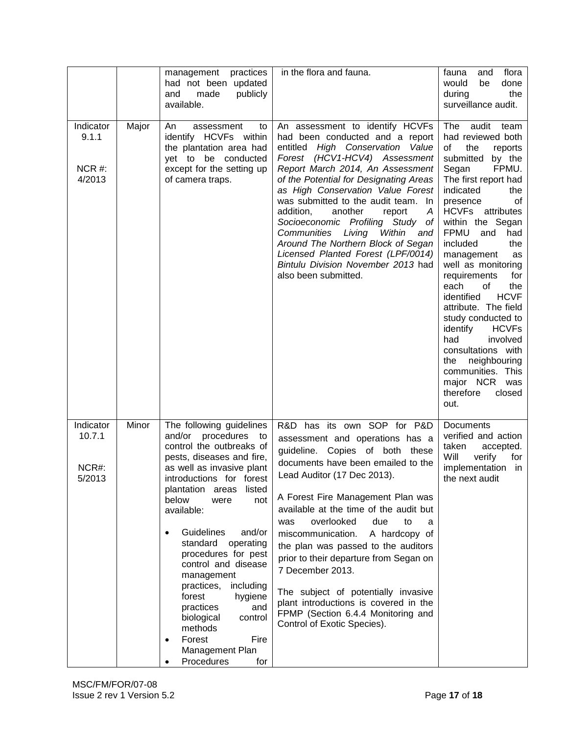|                                          |       | management practices<br>had not been updated<br>made<br>publicly<br>and<br>available.                                                                                                                                                                                                                                                                                                                                                                                                                                                 | in the flora and fauna.                                                                                                                                                                                                                                                                                                                                                                                                                                                                                                                                                                      | flora<br>fauna<br>and<br>would<br>be<br>done<br>during<br>the<br>surveillance audit.                                                                                                                                                                                                                                                                                                                                                                                                                                                                                                                      |
|------------------------------------------|-------|---------------------------------------------------------------------------------------------------------------------------------------------------------------------------------------------------------------------------------------------------------------------------------------------------------------------------------------------------------------------------------------------------------------------------------------------------------------------------------------------------------------------------------------|----------------------------------------------------------------------------------------------------------------------------------------------------------------------------------------------------------------------------------------------------------------------------------------------------------------------------------------------------------------------------------------------------------------------------------------------------------------------------------------------------------------------------------------------------------------------------------------------|-----------------------------------------------------------------------------------------------------------------------------------------------------------------------------------------------------------------------------------------------------------------------------------------------------------------------------------------------------------------------------------------------------------------------------------------------------------------------------------------------------------------------------------------------------------------------------------------------------------|
| Indicator<br>9.1.1<br>$NCR$ #:<br>4/2013 | Major | An<br>assessment<br>to<br>identify HCVFs within<br>the plantation area had<br>yet to be conducted<br>except for the setting up<br>of camera traps.                                                                                                                                                                                                                                                                                                                                                                                    | An assessment to identify HCVFs<br>had been conducted and a report<br>entitled High Conservation Value<br>Forest (HCV1-HCV4) Assessment<br>Report March 2014, An Assessment<br>of the Potential for Designating Areas<br>as High Conservation Value Forest<br>was submitted to the audit team. In<br>addition,<br>another<br>report<br>A<br>Socioeconomic Profiling Study of<br>Communities Living<br>Within<br>and<br>Around The Northern Block of Segan<br>Licensed Planted Forest (LPF/0014)<br>Bintulu Division November 2013 had<br>also been submitted.                                | The<br>audit<br>team<br>had reviewed both<br>of<br>the<br>reports<br>submitted by the<br>FPMU.<br>Segan<br>The first report had<br>indicated<br>the<br>presence<br>οf<br><b>HCVFs</b><br>attributes<br>within the Segan<br><b>FPMU</b><br>and<br>had<br>included<br>the<br>management<br>as<br>well as monitoring<br>requirements<br>for<br>each<br>of<br>the<br><b>HCVF</b><br>identified<br>attribute. The field<br>study conducted to<br>identify<br><b>HCVFs</b><br>involved<br>had<br>consultations with<br>neighbouring<br>the<br>communities. This<br>major NCR was<br>therefore<br>closed<br>out. |
| Indicator<br>10.7.1<br>NCR#:<br>5/2013   | Minor | The following guidelines<br>and/or procedures to<br>control the outbreaks of<br>pests, diseases and fire,<br>as well as invasive plant<br>introductions for forest<br>plantation<br>listed<br>areas<br>below<br>were<br>not<br>available:<br>Guidelines<br>and/or<br>standard<br>operating<br>procedures for pest<br>control and disease<br>management<br>practices,<br>including<br>forest<br>hygiene<br>practices<br>and<br>biological<br>control<br>methods<br>Forest<br>Fire<br>$\bullet$<br>Management Plan<br>Procedures<br>for | R&D has its own SOP for P&D<br>assessment and operations has a<br>guideline. Copies of both these<br>documents have been emailed to the<br>Lead Auditor (17 Dec 2013).<br>A Forest Fire Management Plan was<br>available at the time of the audit but<br>overlooked<br>due<br>to<br>was<br>a<br>miscommunication.<br>A hardcopy of<br>the plan was passed to the auditors<br>prior to their departure from Segan on<br>7 December 2013.<br>The subject of potentially invasive<br>plant introductions is covered in the<br>FPMP (Section 6.4.4 Monitoring and<br>Control of Exotic Species). | Documents<br>verified and action<br>taken<br>accepted.<br>Will<br>verify<br>for<br>implementation in<br>the next audit                                                                                                                                                                                                                                                                                                                                                                                                                                                                                    |